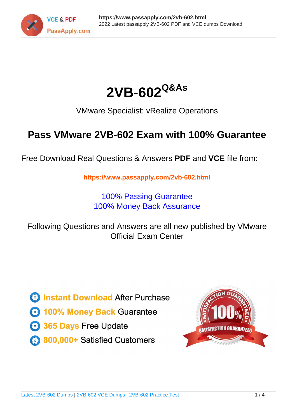



VMware Specialist: vRealize Operations

# **Pass VMware 2VB-602 Exam with 100% Guarantee**

Free Download Real Questions & Answers **PDF** and **VCE** file from:

**https://www.passapply.com/2vb-602.html**

100% Passing Guarantee 100% Money Back Assurance

Following Questions and Answers are all new published by VMware Official Exam Center

**C** Instant Download After Purchase

**83 100% Money Back Guarantee** 

- 365 Days Free Update
- 800,000+ Satisfied Customers

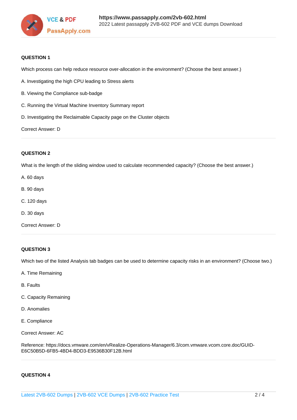

### **QUESTION 1**

Which process can help reduce resource over-allocation in the environment? (Choose the best answer.)

- A. Investigating the high CPU leading to Stress alerts
- B. Viewing the Compliance sub-badge
- C. Running the Virtual Machine Inventory Summary report
- D. Investigating the Reclaimable Capacity page on the Cluster objects

Correct Answer: D

### **QUESTION 2**

What is the length of the sliding window used to calculate recommended capacity? (Choose the best answer.)

- A. 60 days
- B. 90 days
- C. 120 days
- D. 30 days
- Correct Answer: D

### **QUESTION 3**

Which two of the listed Analysis tab badges can be used to determine capacity risks in an environment? (Choose two.)

- A. Time Remaining
- B. Faults
- C. Capacity Remaining
- D. Anomalies
- E. Compliance

Correct Answer: AC

Reference: https://docs.vmware.com/en/vRealize-Operations-Manager/6.3/com.vmware.vcom.core.doc/GUID-E6C50B5D-6FB5-4BD4-BDD3-E9536B30F12B.html

### **QUESTION 4**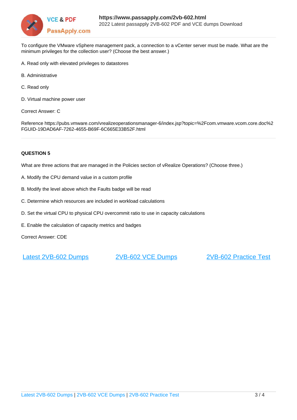

To configure the VMware vSphere management pack, a connection to a vCenter server must be made. What are the minimum privileges for the collection user? (Choose the best answer.)

- A. Read only with elevated privileges to datastores
- B. Administrative
- C. Read only
- D. Virtual machine power user
- Correct Answer: C

Reference https://pubs.vmware.com/vrealizeoperationsmanager-6/index.jsp?topic=%2Fcom.vmware.vcom.core.doc%2 FGUID-19DAD6AF-7262-4655-B69F-6C665E33B52F.html

### **QUESTION 5**

What are three actions that are managed in the Policies section of vRealize Operations? (Choose three.)

- A. Modify the CPU demand value in a custom profile
- B. Modify the level above which the Faults badge will be read
- C. Determine which resources are included in workload calculations
- D. Set the virtual CPU to physical CPU overcommit ratio to use in capacity calculations
- E. Enable the calculation of capacity metrics and badges

Correct Answer: CDE

[Latest 2VB-602 Dumps](https://www.passapply.com/2vb-602.html) [2VB-602 VCE Dumps](https://www.passapply.com/2vb-602.html) [2VB-602 Practice Test](https://www.passapply.com/2vb-602.html)